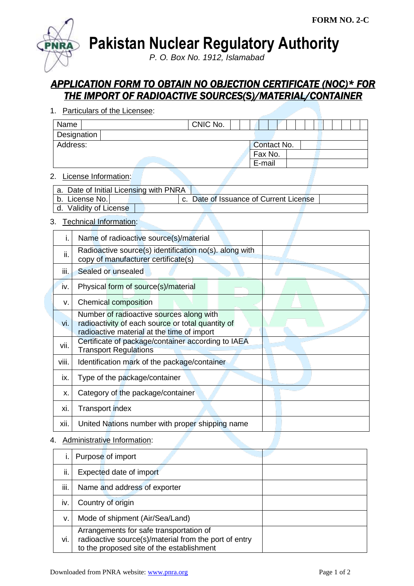

**Pakistan Nuclear Regulatory Authority**

*P. O. Box No. 1912, Islamabad*

# *APPLICATION FORM TO OBTAIN NO OBJECTION CERTIFICATE (NOC)\* FOR THE IMPORT OF RADIOACTIVE SOURCES(S)/MATERIAL/CONTAINER*

1. Particulars of the Licensee:

| Name        |  |  | CNIC No. |  |             |         |  |  |  |  |  |
|-------------|--|--|----------|--|-------------|---------|--|--|--|--|--|
| Designation |  |  |          |  |             |         |  |  |  |  |  |
| Address:    |  |  |          |  | Contact No. |         |  |  |  |  |  |
|             |  |  |          |  |             | Fax No. |  |  |  |  |  |
|             |  |  |          |  | E-mail      |         |  |  |  |  |  |

# 2. License Information:

| a. Date of Initial Licensing with PNRA |  |  |                                        |  |  |
|----------------------------------------|--|--|----------------------------------------|--|--|
| b. License No.                         |  |  | c. Date of Issuance of Current License |  |  |
| d. Validity of License                 |  |  |                                        |  |  |

# 3. Technical Information:

| i.    | Name of radioactive source(s)/material                                                                                                      |  |
|-------|---------------------------------------------------------------------------------------------------------------------------------------------|--|
| ii.   | Radioactive source(s) identification no(s). along with<br>copy of manufacturer certificate(s)                                               |  |
| iii.  | Sealed or unsealed                                                                                                                          |  |
| iv.   | Physical form of source(s)/material                                                                                                         |  |
| v.    | Chemical composition                                                                                                                        |  |
| vi.   | Number of radioactive sources along with<br>radioactivity of each source or total quantity of<br>radioactive material at the time of import |  |
| vii.  | Certificate of package/container according to IAEA<br><b>Transport Regulations</b>                                                          |  |
| viii. | Identification mark of the package/container                                                                                                |  |
| ix.   | Type of the package/container                                                                                                               |  |
| X.    | Category of the package/container                                                                                                           |  |
| xi.   | Transport index                                                                                                                             |  |
| xii.  | United Nations number with proper shipping name                                                                                             |  |

# 4. Administrative Information:

|      | Purpose of import                                                                                                                             |
|------|-----------------------------------------------------------------------------------------------------------------------------------------------|
| ii.  | Expected date of import                                                                                                                       |
| iii. | Name and address of exporter                                                                                                                  |
| iv.  | Country of origin                                                                                                                             |
| ν.   | Mode of shipment (Air/Sea/Land)                                                                                                               |
| vi.  | Arrangements for safe transportation of<br>radioactive source(s)/material from the port of entry<br>to the proposed site of the establishment |